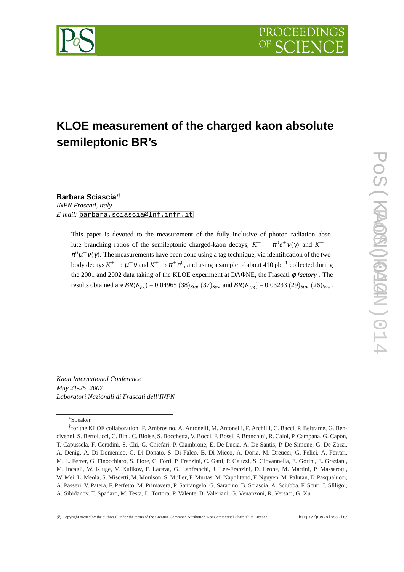

# **KLOE measurement of the charged kaon absolute semileptonic BR's**

**Barbara Sciascia**∗†

*INFN Frascati, Italy E-mail:* [barbara.sciascia@lnf.infn.it](mailto:barbara.sciascia@lnf.infn.it)

> This paper is devoted to the measurement of the fully inclusive of photon radiation absolute branching ratios of the semileptonic charged-kaon decays,  $K^{\pm} \to \pi^0 e^{\pm} \nu(\gamma)$  and  $K^{\pm} \to$  $\pi^0\mu^{\pm}\nu(\gamma)$ . The measurements have been done using a tag technique, via identification of the twobody decays  $K^{\pm}\to\mu^{\pm}\nu$  and  $K^{\pm}\to\pi^{\pm}\pi^0$ , and using a sample of about 410 pb $^{-1}$  collected during the 2001 and 2002 data taking of the KLOE experiment at DAΦNE, the Frascati φ *factory* . The results obtained are  $BR(K_{e3}) = 0.04965 (38)_{Stat} (37)_{Syst}$  and  $BR(K_{\mu 3}) = 0.03233 (29)_{Stat} (26)_{Syst}$ .

*Kaon International Conference May 21-25, 2007 Laboratori Nazionali di Frascati dell'INFN*

<sup>∗</sup>Speaker.

<sup>&</sup>lt;sup>†</sup> for the KLOE collaboration: F. Ambrosino, A. Antonelli, M. Antonelli, F. Archilli, C. Bacci, P. Beltrame, G. Bencivenni, S. Bertolucci, C. Bini, C. Bloise, S. Bocchetta, V. Bocci, F. Bossi, P. Branchini, R. Caloi, P. Campana, G. Capon, T. Capussela, F. Ceradini, S. Chi, G. Chiefari, P. Ciambrone, E. De Lucia, A. De Santis, P. De Simone, G. De Zorzi, A. Denig, A. Di Domenico, C. Di Donato, S. Di Falco, B. Di Micco, A. Doria, M. Dreucci, G. Felici, A. Ferrari, M. L. Ferrer, G. Finocchiaro, S. Fiore, C. Forti, P. Franzini, C. Gatti, P. Gauzzi, S. Giovannella, E. Gorini, E. Graziani, M. Incagli, W. Kluge, V. Kulikov, F. Lacava, G. Lanfranchi, J. Lee-Franzini, D. Leone, M. Martini, P. Massarotti, W. Mei, L. Meola, S. Miscetti, M. Moulson, S. Müller, F. Murtas, M. Napolitano, F. Nguyen, M. Palutan, E. Pasqualucci, A. Passeri, V. Patera, F. Perfetto, M. Primavera, P. Santangelo, G. Saracino, B. Sciascia, A. Sciubba, F. Scuri, I. Sfiligoi, A. Sibidanov, T. Spadaro, M. Testa, L. Tortora, P. Valente, B. Valeriani, G. Venanzoni, R. Versaci, G. Xu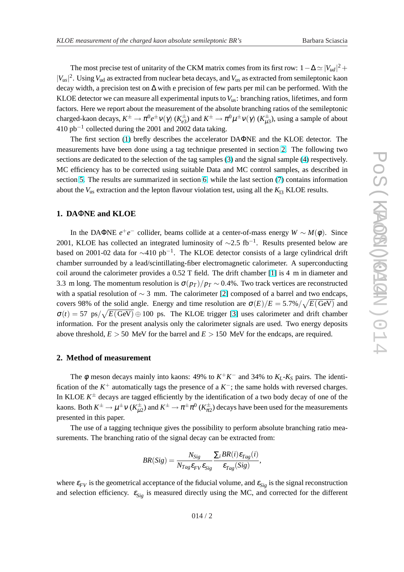The most precise test of unitarity of the CKM matrix comes from its first row:  $1 - \Delta \simeq |V_{ud}|^2 +$  $|V_{us}|^2$ . Using  $V_{ud}$  as extracted from nuclear beta decays, and  $V_{us}$  as extracted from semileptonic kaon decay width, a precision test on ∆ with e precision of few parts per mil can be performed. With the KLOE detector we can measure all experimental inputs to  $V_{\text{us}}$ : branching ratios, lifetimes, and form factors. Here we report about the measurement of the absolute branching ratios of the semileptonic charged-kaon decays,  $K^\pm\to\pi^0e^\pm\nu(\gamma)$  ( $K^\pm_{e3}$ ) and  $K^\pm\to\pi^0\mu^\pm\nu(\gamma)$  ( $K^\pm_{\mu3}$ ), using a sample of about 410 pb−<sup>1</sup> collected during the 2001 and 2002 data taking.

The first section (1) brefly describes the accelerator DAΦNE and the KLOE detector. The measurements have been done using a tag technique presented in section 2. The following two sections are dedicated to the selection of the tag samples [\(3\)](#page-2-0) and the signal sample [\(4\)](#page-3-0) respectively. MC efficiency has to be corrected using suitable Data and MC control samples, as described in section [5.](#page-3-0) The results are summarized in section [6,](#page-4-0) while the last section [\(7\)](#page-6-0) contains information about the  $V_{us}$  extraction and the lepton flavour violation test, using all the  $K_{13}$  KLOE results.

# **1. DA**Φ**NE and KLOE**

In the DAΦNE  $e^+e^-$  collider, beams collide at a center-of-mass energy  $W \sim M(\phi)$ . Since 2001, KLOE has collected an integrated luminosity of  $\sim$ 2.5 fb<sup>-1</sup>. Results presented below are based on 2001-02 data for  $\sim$ 410 pb<sup>-1</sup>. The KLOE detector consists of a large cylindrical drift chamber surrounded by a lead/scintillating-fiber electromagnetic calorimeter. A superconducting coil around the calorimeter provides a 0.52 T field. The drift chamber [\[1\]](#page-7-0) is 4 m in diameter and 3.3 m long. The momentum resolution is  $\sigma(p_T)/p_T \sim 0.4\%$ . Two track vertices are reconstructed with a spatial resolution of  $\sim$  3 mm. The calorimeter [\[2\]](#page-7-0) composed of a barrel and two endcaps, covers 98% of the solid angle. Energy and time resolution are  $\sigma(E)/E = 5.7\% / \sqrt{E(\text{GeV})}$  and  $\sigma(t) = 57 \text{ ps}/\sqrt{E(\text{GeV})} \oplus 100 \text{ ps}$ . The KLOE trigger [\[3\]](#page-7-0) uses calorimeter and drift chamber information. For the present analysis only the calorimeter signals are used. Two energy deposits above threshold,  $E > 50$  MeV for the barrel and  $E > 150$  MeV for the endcaps, are required.

### **2. Method of measurement**

The  $\phi$  meson decays mainly into kaons: 49% to  $K^+K^-$  and 34% to  $K_L$ - $K_S$  pairs. The identification of the  $K^+$  automatically tags the presence of a  $K^-$ ; the same holds with reversed charges. In KLOE  $K^{\pm}$  decays are tagged efficiently by the identification of a two body decay of one of the kaons. Both  $K^\pm\to\mu^\pm\nu$  ( $K^\pm_{\mu2}$ ) and  $K^\pm\to\pi^\pm\pi^0$  ( $K^\pm_{\pi2}$ ) decays have been used for the measurements presented in this paper.

The use of a tagging technique gives the possibility to perform absolute branching ratio measurements. The branching ratio of the signal decay can be extracted from:

$$
BR(Sig) = \frac{N_{Sig}}{N_{Tag} \varepsilon_{FV} \varepsilon_{Sig}} \frac{\sum_i BR(i) \varepsilon_{Tag}(i)}{\varepsilon_{Tag}(Sig)},
$$

where  $\varepsilon_{FV}$  is the geometrical acceptance of the fiducial volume, and  $\varepsilon_{Sig}$  is the signal reconstruction and selection efficiency.  $\varepsilon_{Sig}$  is measured directly using the MC, and corrected for the different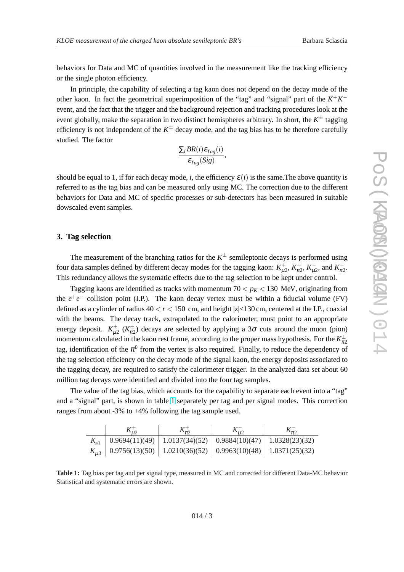<span id="page-2-0"></span>behaviors for Data and MC of quantities involved in the measurement like the tracking efficiency or the single photon efficiency.

In principle, the capability of selecting a tag kaon does not depend on the decay mode of the other kaon. In fact the geometrical superimposition of the "tag" and "signal" part of the  $K^+K^$ event, and the fact that the trigger and the background rejection and tracking procedures look at the event globally, make the separation in two distinct hemispheres arbitrary. In short, the  $K^{\pm}$  tagging efficiency is not independent of the  $K^{\pm}$  decay mode, and the tag bias has to be therefore carefully studied. The factor

$$
\frac{\sum_{i} BR(i) \varepsilon_{Tag}(i)}{\varepsilon_{Tag}(Sig)},
$$

should be equal to 1, if for each decay mode, *i*, the efficiency  $\varepsilon(i)$  is the same. The above quantity is referred to as the tag bias and can be measured only using MC. The correction due to the different behaviors for Data and MC of specific processes or sub-detectors has been measured in suitable dowscaled event samples.

### **3. Tag selection**

The measurement of the branching ratios for the  $K^{\pm}$  semileptonic decays is performed using four data samples defined by different decay modes for the tagging kaon:  $K_{\mu2}^+$ ,  $K_{\pi2}^+$ ,  $K_{\mu2}^-$ , and  $K_{\pi2}^-$ . This redundancy allows the systematic effects due to the tag selection to be kept under control.

Tagging kaons are identified as tracks with momentum  $70 < p_K < 130$  MeV, originating from the  $e^+e^-$  collision point (I.P.). The kaon decay vertex must be within a fiducial volume (FV) defined as a cylinder of radius  $40 < r < 150$  cm, and height  $|z| < 130$  cm, centered at the I.P., coaxial with the beams. The decay track, extrapolated to the calorimeter, must point to an appropriate energy deposit.  $K^{\pm}_{\mu 2}$  ( $K^{\pm}_{\pi 2}$ ) decays are selected by applying a 3 $\sigma$  cuts around the muon (pion) momentum calculated in the kaon rest frame, according to the proper mass hypothesis. For the  $K^{\pm}_{\pi 2}$ tag, identification of the  $\pi^0$  from the vertex is also required. Finally, to reduce the dependency of the tag selection efficiency on the decay mode of the signal kaon, the energy deposits associated to the tagging decay, are required to satisfy the calorimeter trigger. In the analyzed data set about 60 million tag decays were identified and divided into the four tag samples.

The value of the tag bias, which accounts for the capability to separate each event into a "tag" and a "signal" part, is shown in table 1 separately per tag and per signal modes. This correction ranges from about -3% to +4% following the tag sample used.

|  | $K_{\pi}$                                                                      |  |  |
|--|--------------------------------------------------------------------------------|--|--|
|  | $K_{\rho}$   0.9694(11)(49)   1.0137(34)(52)   0.9884(10)(47)   1.0328(23)(32) |  |  |
|  | $K_{\mu3}$   0.9756(13)(50)   1.0210(36)(52)   0.9963(10)(48)   1.0371(25)(32) |  |  |

**Table 1:** Tag bias per tag and per signal type, measured in MC and corrected for different Data-MC behavior Statistical and systematic errors are shown.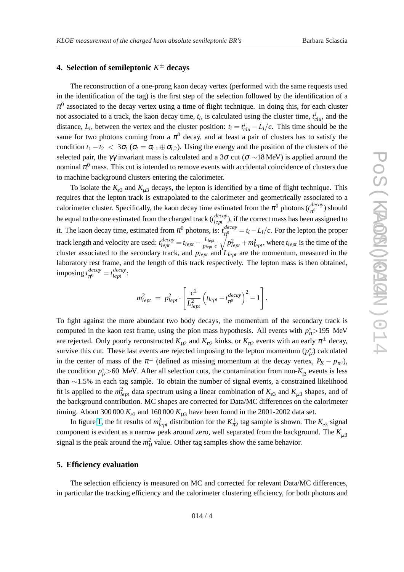# <span id="page-3-0"></span>**4. Selection of semileptonic** *K* <sup>±</sup> **decays**

The reconstruction of a one-prong kaon decay vertex (performed with the same requests used in the identification of the tag) is the first step of the selection followed by the identification of a  $\pi^0$  associated to the decay vertex using a time of flight technique. In doing this, for each cluster not associated to a track, the kaon decay time,  $t_i$ , is calculated using the cluster time,  $t_{\text{clu}}^i$ , and the distance,  $L_i$ , between the vertex and the cluster position:  $t_i = t_{\text{clu}}^i - L_i/c$ . This time should be the same for two photons coming from a  $\pi^0$  decay, and at least a pair of clusters has to satisfy the condition  $t_1 - t_2 < 3\sigma_t$  ( $\sigma_t = \sigma_{t,1} \oplus \sigma_{t,2}$ ). Using the energy and the position of the clusters of the selected pair, the γγ invariant mass is calculated and a 3 $\sigma$  cut ( $\sigma \sim 18$  MeV) is applied around the nominal  $\pi^0$  mass. This cut is intended to remove events with accidental coincidence of clusters due to machine background clusters entering the calorimeter.

To isolate the  $K_{e3}$  and  $K_{\mu 3}$  decays, the lepton is identified by a time of flight technique. This requires that the lepton track is extrapolated to the calorimeter and geometrically associated to a calorimeter cluster. Specifically, the kaon decay time estimated from the  $\pi^0$  photons  $(t_{\pi^0}^{decay})$  should be equal to the one estimated from the charged track ( $t_{lept}^{decay}$ ), if the correct mass has been assigned to it. The kaon decay time, estimated from  $\pi^0$  photons, is:  $t_{\pi^0}^{decay}$  $\frac{decav}{\pi^0} = t_i - L_i/c$ . For the lepton the proper track length and velocity are used:  $t_{lept}^{decay} = t_{lept} - \frac{L_{lept}}{p_{lept}c} \sqrt{p_{lept}^2 + m_{lept}^2}$ , where  $t_{lept}$  is the time of the  $\frac{d}{dt}$  decay  $\frac{1}{t}$   $\frac{L_{lept}}{dt}$   $\frac{L_{lept}}{dt}$ cluster associated to the secondary track, and *plept* and *Llept* are the momentum, measured in the laboratory rest frame, and the length of this track respectively. The lepton mass is then obtained, imposing *t decay*  $\frac{decay}{\pi^0} = t_{lept}^{decay}$ 

$$
m_{lept}^2 \ = \ p_{lept}^2 \cdot \left[ \frac{c^2}{L_{lept}^2} \left( t_{lept} - t_{\pi^0}^{decay} \right)^2 - 1 \right].
$$

To fight against the more abundant two body decays, the momentum of the secondary track is computed in the kaon rest frame, using the pion mass hypothesis. All events with  $p^*_{\pi}$  > 195 MeV are rejected. Only poorly reconstructed  $K_{\mu 2}$  and  $K_{\pi 2}$  kinks, or  $K_{\pi 2}$  events with an early  $\pi^{\pm}$  decay, survive this cut. These last events are rejected imposing to the lepton momentum  $(p^*_{\mu})$  calculated in the center of mass of the  $\pi^{\pm}$  (defined as missing momentum at the decay vertex,  $P_K - p_{\pi^0}$ ), the condition  $p^*_{\mu} > 60$  MeV. After all selection cuts, the contamination from non- $K_{13}$  events is less than ∼1.5% in each tag sample. To obtain the number of signal events, a constrained likelihood fit is applied to the  $m_{lept}^2$  data spectrum using a linear combination of  $K_{e3}$  and  $K_{\mu 3}$  shapes, and of the background contribution. MC shapes are corrected for Data/MC differences on the calorimeter timing. About 300 000  $K_{e3}$  and 160 000  $K_{\mu 3}$  have been found in the 2001-2002 data set.

In figure [1,](#page-4-0) the fit results of  $m_{lept}^2$  distribution for the  $K_{\pi^2}^+$  tag sample is shown. The  $K_{e3}$  signal component is evident as a narrow peak around zero, well separated from the background. The  $K_{\mu 3}$ signal is the peak around the  $m_\mu^2$  value. Other tag samples show the same behavior.

### **5. Efficiency evaluation**

The selection efficiency is measured on MC and corrected for relevant Data/MC differences, in particular the tracking efficiency and the calorimeter clustering efficiency, for both photons and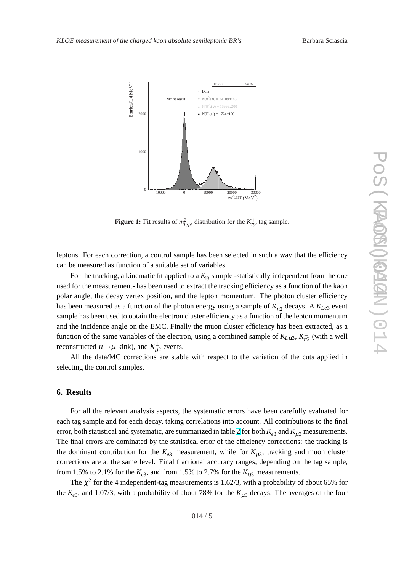<span id="page-4-0"></span>

**Figure 1:** Fit results of  $m_{lept}^2$  distribution for the  $K_{\pi^2}^+$  tag sample.

leptons. For each correction, a control sample has been selected in such a way that the efficiency can be measured as function of a suitable set of variables.

For the tracking, a kinematic fit applied to a  $K_{13}$  sample -statistically independent from the one used for the measurement- has been used to extract the tracking efficiency as a function of the kaon polar angle, the decay vertex position, and the lepton momentum. The photon cluster efficiency has been measured as a function of the photon energy using a sample of  $K_{\pi^2}^{\pm}$  decays. A  $K_{Le3}$  event sample has been used to obtain the electron cluster efficiency as a function of the lepton momentum and the incidence angle on the EMC. Finally the muon cluster efficiency has been extracted, as a function of the same variables of the electron, using a combined sample of  $K_{L\mu 3}$ ,  $K_{\pi 2}^{\pm}$  (with a well reconstructed  $\pi \rightarrow \mu$  kink), and  $K^{\pm}_{\mu 2}$  events.

All the data/MC corrections are stable with respect to the variation of the cuts applied in selecting the control samples.

### **6. Results**

For all the relevant analysis aspects, the systematic errors have been carefully evaluated for each tag sample and for each decay, taking correlations into account. All contributions to the final error, both statistical and systematic, are summarized in table [2](#page-5-0) for both  $K_{e3}$  and  $K_{\mu 3}$  measurements. The final errors are dominated by the statistical error of the efficiency corrections: the tracking is the dominant contribution for the  $K_{e3}$  measurement, while for  $K_{\mu 3}$ , tracking and muon cluster corrections are at the same level. Final fractional accuracy ranges, depending on the tag sample, from 1.5% to 2.1% for the  $K_{e3}$ , and from 1.5% to 2.7% for the  $K_{\mu 3}$  measurements.

The  $\chi^2$  for the 4 independent-tag measurements is 1.62/3, with a probability of about 65% for the  $K_{e3}$ , and 1.07/3, with a probability of about 78% for the  $K_{\mu 3}$  decays. The averages of the four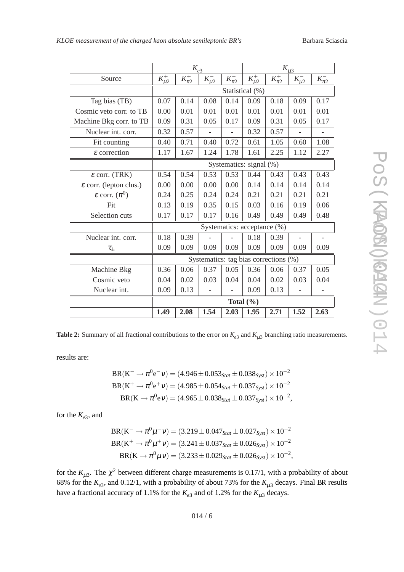<span id="page-5-0"></span>

|                                    | $K_{e3}$                              |              |              |              | $K_{\mu \underline{3}}$ |              |                           |             |  |  |
|------------------------------------|---------------------------------------|--------------|--------------|--------------|-------------------------|--------------|---------------------------|-------------|--|--|
| Source                             | $K_{\mu2}^+$                          | $K_{\pi2}^+$ | $K_{\mu2}^-$ | $K_{\pi2}^-$ | $K_{\mu2}^+$            | $K_{\pi2}^+$ | $K_{\underline{\mu_2}}^-$ | $K_{\pi}^-$ |  |  |
|                                    | Statistical (%)                       |              |              |              |                         |              |                           |             |  |  |
| Tag bias (TB)                      | 0.07                                  | 0.14         | 0.08         | 0.14         | 0.09                    | 0.18         | 0.09                      | 0.17        |  |  |
| Cosmic veto corr. to TB            | 0.00                                  | 0.01         | 0.01         | 0.01         | 0.01                    | 0.01         | 0.01                      | 0.01        |  |  |
| Machine Bkg corr. to TB            | 0.09                                  | 0.31         | 0.05         | 0.17         | 0.09                    | 0.31         | 0.05                      | 0.17        |  |  |
| Nuclear int. corr.                 | 0.32                                  | 0.57         |              |              | 0.32                    | 0.57         |                           |             |  |  |
| Fit counting                       | 0.40                                  | 0.71         | 0.40         | 0.72         | 0.61                    | 1.05         | 0.60                      | 1.08        |  |  |
| $\varepsilon$ correction           | 1.17                                  | 1.67         | 1.24         | 1.78         | 1.61                    | 2.25         | 1.12                      | 2.27        |  |  |
|                                    | Systematics: signal (%)               |              |              |              |                         |              |                           |             |  |  |
| $\epsilon$ corr. (TRK)             | 0.54                                  | 0.54         | 0.53         | 0.53         | 0.44                    | 0.43         | 0.43                      | 0.43        |  |  |
| $\varepsilon$ corr. (lepton clus.) | 0.00                                  | 0.00         | 0.00         | 0.00         | 0.14                    | 0.14         | 0.14                      | 0.14        |  |  |
| $\varepsilon$ corr. $(\pi^0)$      | 0.24                                  | 0.25         | 0.24         | 0.24         | 0.21                    | 0.21         | 0.21                      | 0.21        |  |  |
| Fit                                | 0.13                                  | 0.19         | 0.35         | 0.15         | 0.03                    | 0.16         | 0.19                      | 0.06        |  |  |
| Selection cuts                     | 0.17                                  | 0.17         | 0.17         | 0.16         | 0.49                    | 0.49         | 0.49                      | 0.48        |  |  |
|                                    | Systematics: acceptance (%)           |              |              |              |                         |              |                           |             |  |  |
| Nuclear int. corr.                 | 0.18                                  | 0.39         |              |              | 0.18                    | 0.39         |                           |             |  |  |
| $\tau_+$                           | 0.09                                  | 0.09         | 0.09         | 0.09         | 0.09                    | 0.09         | 0.09                      | 0.09        |  |  |
|                                    | Systematics: tag bias corrections (%) |              |              |              |                         |              |                           |             |  |  |
| Machine Bkg                        | 0.36                                  | 0.06         | 0.37         | 0.05         | 0.36                    | 0.06         | 0.37                      | 0.05        |  |  |
| Cosmic veto                        | 0.04                                  | 0.02         | 0.03         | 0.04         | 0.04                    | 0.02         | 0.03                      | 0.04        |  |  |
| Nuclear int.                       | 0.09                                  | 0.13         |              |              | 0.09                    | 0.13         |                           |             |  |  |
|                                    | Total $(\% )$                         |              |              |              |                         |              |                           |             |  |  |
|                                    | 1.49                                  | 2.08         | 1.54         | 2.03         | 1.95                    | 2.71         | 1.52                      | 2.63        |  |  |

**Table 2:** Summary of all fractional contributions to the error on  $K_{e3}$  and  $K_{\mu 3}$  branching ratio measurements.

results are:

$$
BR(K^{-} \to \pi^{0} e^{-} \nu) = (4.946 \pm 0.053_{Stat} \pm 0.038_{Syst}) \times 10^{-2}
$$
  
\n
$$
BR(K^{+} \to \pi^{0} e^{+} \nu) = (4.985 \pm 0.054_{Stat} \pm 0.037_{Syst}) \times 10^{-2}
$$
  
\n
$$
BR(K \to \pi^{0} e \nu) = (4.965 \pm 0.038_{Stat} \pm 0.037_{Syst}) \times 10^{-2},
$$

for the  $K_{e3}$ , and

$$
BR(K^{-} \to \pi^{0} \mu^{-} \nu) = (3.219 \pm 0.047_{Stat} \pm 0.027_{Syst}) \times 10^{-2}
$$
  
\n
$$
BR(K^{+} \to \pi^{0} \mu^{+} \nu) = (3.241 \pm 0.037_{Stat} \pm 0.026_{Syst}) \times 10^{-2}
$$
  
\n
$$
BR(K \to \pi^{0} \mu \nu) = (3.233 \pm 0.029_{Stat} \pm 0.026_{Syst}) \times 10^{-2},
$$

for the  $K_{\mu 3}$ . The  $\chi^2$  between different charge measurements is 0.17/1, with a probability of about 68% for the  $K_{e3}$ , and 0.12/1, with a probability of about 73% for the  $K_{\mu 3}$  decays. Final BR results have a fractional accuracy of 1.1% for the  $K_{e3}$  and of 1.2% for the  $K_{\mu 3}$  decays.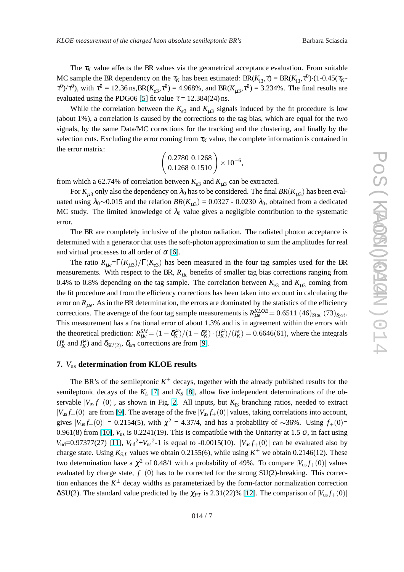<span id="page-6-0"></span>The  $\tau_K$  value affects the BR values via the geometrical acceptance evaluation. From suitable MC sample the BR dependency on the  $\tau_K$  has been estimated:  $BR(K_{13}, \tau) = BR(K_{13}, \tau^0) \cdot (1 - 0.45(\tau_K - 0.05))$  $\tau^{0}$ )/ $\tau^{0}$ ), with  $\tau^{0} = 12.36 \text{ ns, BR}(K_{e3}, \tau^{0}) = 4.968\%$ , and BR( $K_{\mu3}, \tau^{0}$ ) = 3.234%. The final results are evaluated using the PDG06 [\[5\]](#page-7-0) fit value  $\tau = 12.384(24)$  ns.

While the correlation between the  $K_{e3}$  and  $K_{\mu 3}$  signals induced by the fit procedure is low (about 1%), a correlation is caused by the corrections to the tag bias, which are equal for the two signals, by the same Data/MC corrections for the tracking and the clustering, and finally by the selection cuts. Excluding the error coming from  $\tau_K$  value, the complete information is contained in the error matrix:  $\overline{a}$ 

$$
\left(\begin{array}{c} 0.2780 & 0.1268 \\ 0.1268 & 0.1510 \end{array}\right) \times 10^{-6},
$$

from which a 62.74% of correlation between  $K_{e3}$  and  $K_{\mu 3}$  can be extracted.

For  $K_{\mu 3}$  only also the dependency on  $\lambda_0$  has to be considered. The final  $BR(K_{\mu 3})$  has been evaluated using  $\lambda_0 \sim 0.015$  and the relation  $BR(K_{\mu 3}) = 0.0327 - 0.0230 \lambda_0$ , obtained from a dedicated MC study. The limited knowledge of  $\lambda_0$  value gives a negligible contribution to the systematic error.

The BR are completely inclusive of the photon radiation. The radiated photon acceptance is determined with a generator that uses the soft-photon approximation to sum the amplitudes for real and virtual processes to all order of  $\alpha$  [\[6\]](#page-7-0).

The ratio  $R_{\mu e} = \Gamma(K_{\mu 3})/\Gamma(K_{e3})$  has been measured in the four tag samples used for the BR measurements. With respect to the BR,  $R_{\mu e}$  benefits of smaller tag bias corrections ranging from 0.4% to 0.8% depending on the tag sample. The correlation between  $K_{e3}$  and  $K_{\mu 3}$  coming from the fit procedure and from the efficiency corrections has been taken into account in calculating the error on  $R_{\mu e}$ . As in the BR determination, the errors are dominated by the statistics of the efficiency corrections. The average of the four tag sample measurements is  $R_{\mu e}^{KLOE} = 0.6511 \ (46)_{Stat} \ (73)_{Syst}$ . This measurement has a fractional error of about 1.3% and is in agreement within the errors with the theoretical prediction:  $R_{\mu e}^{SM} = (1 - \delta_K^{\mu})/(1 - \delta_K^e) \cdot (I_K^{\mu})/(I_K^e) = 0.6646(61)$ , where the integrals  $(I_K^e \text{ and } I_K^{\mu}$  and  $\delta_{SU(2)}$ ,  $\delta_{em}$  corrections are from [\[9\]](#page-8-0).

## **7.** *V*us **determination from KLOE results**

The BR's of the semileptonic  $K^{\pm}$  decays, together with the already published results for the semileptonic decays of the  $K_L$  [\[7\]](#page-7-0) and  $K_S$  [\[8\]](#page-8-0), allow five independent determinations of the observable  $|V_{us} f_+(0)|$ , as shown in Fig. [2.](#page-7-0) All inputs, but  $K_{13}$  branching ratios, needed to extract  $|V_{us} f_+(0)|$  are from [\[9\]](#page-8-0). The average of the five  $|V_{us} f_+(0)|$  values, taking correlations into account, gives  $|V_{us} f_+(0)| = 0.2154(5)$ , with  $\chi^2 = 4.37/4$ , and has a probability of ~36%. Using  $f_+(0)$ = 0.961(8) from [\[10\]](#page-8-0),  $V_{us}$  is 0.2241(19). This is compatibile with the Unitarity at 1.5  $\sigma$ , in fact using  $V_{ud}$ =0.97377(27) [\[11\]](#page-8-0),  $V_{ud}^2$ + $V_{us}^2$ -1 is equal to -0.0015(10).  $|V_{us}f_+(0)|$  can be evaluated also by charge state. Using  $K_{S,L}$  values we obtain 0.2155(6), while using  $K^{\pm}$  we obtain 0.2146(12). These two determination have a  $\chi^2$  of 0.48/1 with a probability of 49%. To compare  $|V_{us}f_+(0)|$  values evaluated by charge state,  $f_+(0)$  has to be corrected for the strong SU(2)-breaking. This correction enhances the *K* <sup>±</sup> decay widths as parameterized by the form-factor normalization correction NC stang. The inmied knowledge of A<sub>0</sub> value gives a negligible contribution to the systematic<br>energy.<br>The RR are completely inclusive of the photon radiation. The radiated photon acceptance is<br>determined with a generato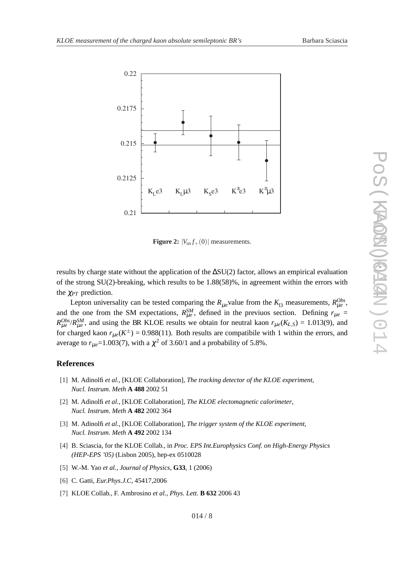<span id="page-7-0"></span>

**Figure 2:**  $|V_{\text{us}} f_+(0)|$  measurements.

results by charge state without the application of the ∆SU(2) factor, allows an empirical evaluation of the strong  $SU(2)$ -breaking, which results to be 1.88(58)%, in agreement within the errors with the <sup>χ</sup>*PT* prediction.

Lepton universality can be tested comparing the  $R_{\mu e}$  value from the  $K_{13}$  measurements,  $R_{\mu e}^{Obs}$ , and the one from the SM expectations,  $R_{\mu e}^{SM}$ , defined in the previuos section. Defining  $r_{\mu e}$  =  $R_{\mu e}^{Obs}$ /*R*<sub> $\mu e$ </sub><sup>*n*</sup>, and using the BR KLOE results we obtain for neutral kaon  $r_{\mu e}(K_{L,S}) = 1.013(9)$ , and for charged kaon  $r_{\mu e}(K^{\pm}) = 0.988(11)$ . Both results are compatibile with 1 within the errors, and average to  $r_{\mu e}$ =1.003(7), with a  $\chi^2$  of 3.60/1 and a probability of 5.8%.

### **References**

- [1] M. Adinolfi *et al.*, [KLOE Collaboration], *The tracking detector of the KLOE experiment*, *Nucl. Instrum. Meth* **A 488** 2002 51
- [2] M. Adinolfi *et al.*, [KLOE Collaboration], *The KLOE electomagnetic calorimeter*, *Nucl. Instrum. Meth* **A 482** 2002 364
- [3] M. Adinolfi *et al.*, [KLOE Collaboration], *The trigger system of the KLOE experiment*, *Nucl. Instrum. Meth* **A 492** 2002 134
- [4] B. Sciascia, for the KLOE Collab., in *Proc. EPS Int.Europhysics Conf. on High-Energy Physics (HEP-EPS '05)* (Lisbon 2005), hep-ex 0510028
- [5] W.-M. Yao *et al.*, *Journal of Physics*, **G33**, 1 (2006)
- [6] C. Gatti, *Eur.Phys.J.C*, 45417,2006
- [7] KLOE Collab., F. Ambrosino *et al.*, *Phys. Lett.* **B 632** 2006 43